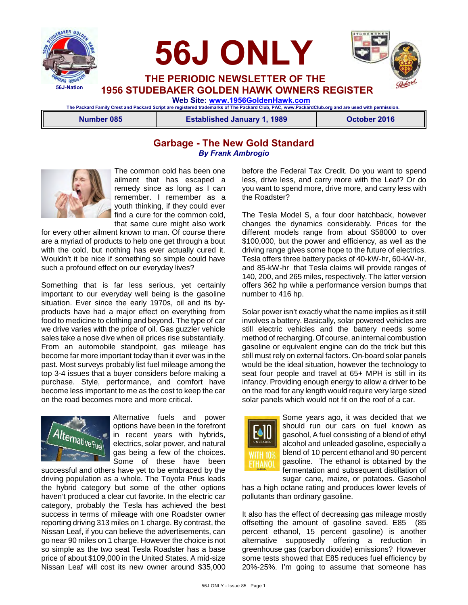





 **THE PERIODIC NEWSLETTER OF THE 1956 STUDEBAKER GOLDEN HAWK OWNERS REGISTER**

 **Web Site: [www.1956GoldenHawk.com](http://www.1956GoldenHawk.com) The Packard Family Crest and Packard Script are registered trademarks of The Packard Club, PAC, www.PackardClub.org and are used with permission.** 

**Number 085 Established January 1, 1989 October 2016**

# **Garbage - The New Gold Standard** *By Frank Ambrogio*



The common cold has been one ailment that has escaped a remedy since as long as I can remember. I remember as a youth thinking, if they could ever find a cure for the common cold, that same cure might also work

for every other ailment known to man. Of course there are a myriad of products to help one get through a bout with the cold, but nothing has ever actually cured it. Wouldn't it be nice if something so simple could have such a profound effect on our everyday lives?

Something that is far less serious, yet certainly important to our everyday well being is the gasoline situation. Ever since the early 1970s, oil and its byproducts have had a major effect on everything from food to medicine to clothing and beyond. The type of car we drive varies with the price of oil. Gas guzzler vehicle sales take a nose dive when oil prices rise substantially. From an automobile standpoint, gas mileage has become far more important today than it ever was in the past. Most surveys probably list fuel mileage among the top 3-4 issues that a buyer considers before making a purchase. Style, performance, and comfort have become less important to me as the cost to keep the car on the road becomes more and more critical.



Alternative fuels and power options have been in the forefront in recent years with hybrids, electrics, solar power, and natural gas being a few of the choices. Some of these have been

successful and others have yet to be embraced by the driving population as a whole. The Toyota Prius leads the hybrid category but some of the other options haven't produced a clear cut favorite. In the electric car category, probably the Tesla has achieved the best success in terms of mileage with one Roadster owner reporting driving 313 miles on 1 charge. By contrast, the Nissan Leaf, if you can believe the advertisements, can go near 90 miles on 1 charge. However the choice is not so simple as the two seat Tesla Roadster has a base price of about \$109,000 in the United States. A mid-size Nissan Leaf will cost its new owner around \$35,000 before the Federal Tax Credit. Do you want to spend less, drive less, and carry more with the Leaf? Or do you want to spend more, drive more, and carry less with the Roadster?

The Tesla Model S, a four door hatchback, however changes the dynamics considerably. Prices for the different models range from about \$58000 to over \$100,000, but the power and efficiency, as well as the driving range gives some hope to the future of electrics. Tesla offers three battery packs of 40-kW-hr, 60-kW-hr, and 85-kW-hr that Tesla claims will provide ranges of 140, 200, and 265 miles, respectively. The latter version offers 362 hp while a performance version bumps that number to 416 hp.

Solar power isn't exactly what the name implies as it still involves a battery. Basically, solar powered vehicles are still electric vehicles and the battery needs some method of recharging. Of course, an internal combustion gasoline or equivalent engine can do the trick but this still must rely on external factors. On-board solar panels would be the ideal situation, however the technology to seat four people and travel at 65+ MPH is still in its infancy. Providing enough energy to allow a driver to be on the road for any length would require very large sized solar panels which would not fit on the roof of a car.



Some years ago, it was decided that we should run our cars on fuel known as gasohol, A fuel consisting of a blend of ethyl alcohol and unleaded gasoline, especially a blend of 10 percent ethanol and 90 percent gasoline. The ethanol is obtained by the fermentation and subsequent distillation of sugar cane, maize, or potatoes. Gasohol

has a high octane rating and produces lower levels of pollutants than ordinary gasoline.

It also has the effect of decreasing gas mileage mostly offsetting the amount of gasoline saved. E85 (85 percent ethanol, 15 percent gasoline) is another alternative supposedly offering a reduction in greenhouse gas (carbon dioxide) emissions? However some tests showed that E85 reduces fuel efficiency by 20%-25%. I'm going to assume that someone has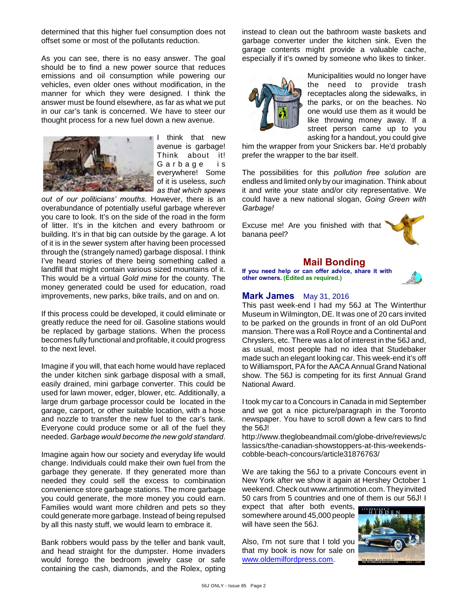determined that this higher fuel consumption does not offset some or most of the pollutants reduction.

As you can see, there is no easy answer. The goal should be to find a new power source that reduces emissions and oil consumption while powering our vehicles, even older ones without modification, in the manner for which they were designed. I think the answer must be found elsewhere, as far as what we put in our car's tank is concerned. We have to steer our thought process for a new fuel down a new avenue.



I think that new avenue is garbage! Think about it! Garbage is everywhere! Some of it is useless, *such as that which spews*

*out of our politicians' mouths*. However, there is an overabundance of potentially useful garbage wherever you care to look. It's on the side of the road in the form of litter. It's in the kitchen and every bathroom or building. It's in that big can outside by the garage. A lot of it is in the sewer system after having been processed through the (strangely named) garbage disposal. I think I've heard stories of there being something called a landfill that might contain various sized mountains of it. This would be a virtual *Gold mine* for the county. The money generated could be used for education, road improvements, new parks, bike trails, and on and on.

If this process could be developed, it could eliminate or greatly reduce the need for oil. Gasoline stations would be replaced by garbage stations. When the process becomes fully functional and profitable, it could progress to the next level.

Imagine if you will, that each home would have replaced the under kitchen sink garbage disposal with a small, easily drained, mini garbage converter. This could be used for lawn mower, edger, blower, etc. Additionally, a large drum garbage processor could be located in the garage, carport, or other suitable location, with a hose and nozzle to transfer the new fuel to the car's tank. Everyone could produce some or all of the fuel they needed. *Garbage would become the new gold standard*.

Imagine again how our society and everyday life would change. Individuals could make their own fuel from the garbage they generate. If they generated more than needed they could sell the excess to combination convenience store garbage stations. The more garbage you could generate, the more money you could earn. Families would want more children and pets so they could generate more garbage. Instead of being repulsed by all this nasty stuff, we would learn to embrace it.

Bank robbers would pass by the teller and bank vault, and head straight for the dumpster. Home invaders would forego the bedroom jewelry case or safe containing the cash, diamonds, and the Rolex, opting instead to clean out the bathroom waste baskets and garbage converter under the kitchen sink. Even the garage contents might provide a valuable cache, especially if it's owned by someone who likes to tinker.



Municipalities would no longer have the need to provide trash receptacles along the sidewalks, in the parks, or on the beaches. No one would use them as it would be like throwing money away. If a street person came up to you asking for a handout, you could give

him the wrapper from your Snickers bar. He'd probably prefer the wrapper to the bar itself.

The possibilities for this *pollution free solution* are endless and limited only by our imagination. Think about it and write your state and/or city representative. We could have a new national slogan, *Going Green with Garbage!*

Excuse me! Are you finished with that banana peel?



## **Mail Bonding**

**If you need help or can offer advice, share it with other owners. (Edited as required.)**



# **Mark James** May 31, 2016

This past week-end I had my 56J at The Winterthur Museum in Wilmington, DE. It was one of 20 cars invited to be parked on the grounds in front of an old DuPont mansion. There was a Roll Royce and a Continental and Chryslers, etc. There was a lot of interest in the 56J and, as usual, most people had no idea that Studebaker made such an elegant looking car. This week-end it's off to Williamsport, PA for the AACA Annual Grand National show. The 56J is competing for its first Annual Grand National Award.

I took my car to a Concours in Canada in mid September and we got a nice picture/paragraph in the Toronto newspaper. You have to scroll down a few cars to find the 56J!

http://www.theglobeandmail.com/globe-drive/reviews/c lassics/the-canadian-showstoppers-at-this-weekendscobble-beach-concours/article31876763/

We are taking the 56J to a private Concours event in New York after we show it again at Hershey October 1 weekend. Check out www.artinmotion.com. They invited 50 cars from 5 countries and one of them is our 56J! I

expect that after both events, somewhere around 45,000 people will have seen the 56J.

Also, I'm not sure that I told you that my book is now for sale on [www.oldemilfordpress.com](http://www.oldemilfordpress.com).

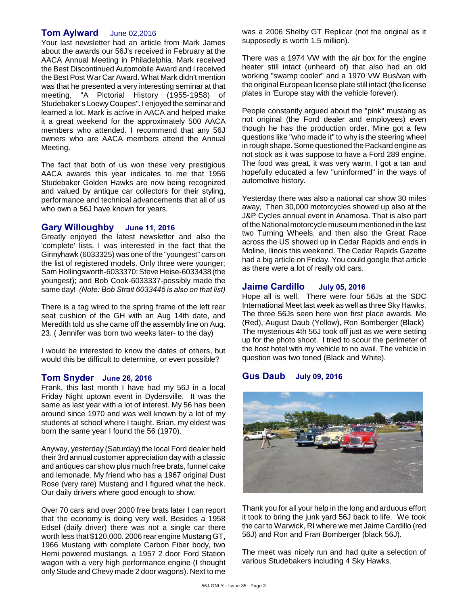# **Tom Aylward** June 02,2016

Your last newsletter had an article from Mark James about the awards our 56J's received in February at the AACA Annual Meeting in Philadelphia. Mark received the Best Discontinued Automobile Award and I received the Best Post War Car Award. What Mark didn't mention was that he presented a very interesting seminar at that meeting, "A Pictorial History (1955-1958) of Studebaker's Loewy Coupes". I enjoyed the seminar and learned a lot. Mark is active in AACA and helped make it a great weekend for the approximately 500 AACA members who attended. I recommend that any 56J owners who are AACA members attend the Annual Meeting.

The fact that both of us won these very prestigious AACA awards this year indicates to me that 1956 Studebaker Golden Hawks are now being recognized and valued by antique car collectors for their styling, performance and technical advancements that all of us who own a 56J have known for years.

## **Gary Willoughby June 11, 2016**

Greatly enjoyed the latest newsletter and also the 'complete' lists. I was interested in the fact that the Ginnyhawk (6033325) was one of the "youngest" cars on the list of registered models. Only three were younger; Sam Hollingsworth-6033370; Steve Heise-6033438 (the youngest); and Bob Cook-6033337-possibly made the same day! *(Note: Bob Strait 6033445 is also on that list)*

There is a tag wired to the spring frame of the left rear seat cushion of the GH with an Aug 14th date, and Meredith told us she came off the assembly line on Aug. 23. ( Jennifer was born two weeks later- to the day)

I would be interested to know the dates of others, but would this be difficult to determine, or even possible?

## **Tom Snyder June 26, 2016**

Frank, this last month I have had my 56J in a local Friday Night uptown event in Dydersville. It was the same as last year with a lot of interest. My 56 has been around since 1970 and was well known by a lot of my students at school where I taught. Brian, my eldest was born the same year I found the 56 (1970).

Anyway, yesterday (Saturday) the local Ford dealer held their 3rd annual customer appreciation day with a classic and antiques car show plus much free brats, funnel cake and lemonade. My friend who has a 1967 original Dust Rose (very rare) Mustang and I figured what the heck. Our daily drivers where good enough to show.

Over 70 cars and over 2000 free brats later I can report that the economy is doing very well. Besides a 1958 Edsel (daily driver) there was not a single car there worth less that \$120,000. 2006 rear engine Mustang GT, 1966 Mustang with complete Carbon Fiber body, two Hemi powered mustangs, a 1957 2 door Ford Station wagon with a very high performance engine (I thought only Stude and Chevy made 2 door wagons). Next to me

was a 2006 Shelby GT Replicar (not the original as it supposedly is worth 1.5 million).

There was a 1974 VW with the air box for the engine heater still intact (unheard of) that also had an old working "swamp cooler" and a 1970 VW Bus/van with the original European license plate still intact (the license plates in 'Europe stay with the vehicle forever).

People constantly argued about the "pink" mustang as not original (the Ford dealer and employees) even though he has the production order. Mine got a few questions like "who made it" to why is the steering wheel in rough shape. Some questioned the Packard engine as not stock as it was suppose to have a Ford 289 engine. The food was great, it was very warm, I got a tan and hopefully educated a few "uninformed" in the ways of automotive history.

Yesterday there was also a national car show 30 miles away, Then 30,000 motorcycles showed up also at the J&P Cycles annual event in Anamosa. That is also part of the National motorcycle museum mentioned in the last two Turning Wheels, and then also the Great Race across the US showed up in Cedar Rapids and ends in Moline, Ilinois this weekend. The Cedar Rapids Gazette had a big article on Friday. You could google that article as there were a lot of really old cars.

## **Jaime Cardillo July 05, 2016**

Hope all is well. There were four 56Js at the SDC International Meet last week as well as three Sky Hawks. The three 56Js seen here won first place awards. Me (Red), August Daub (Yellow), Ron Bomberger (Black) The mysterious 4th 56J took off just as we were setting up for the photo shoot. I tried to scour the perimeter of the host hotel with my vehicle to no avail. The vehicle in question was two toned (Black and White).

# **Gus Daub July 09, 2016**



Thank you for all your help in the long and arduous effort it took to bring the junk yard 56J back to life. We took the car to Warwick, RI where we met Jaime Cardillo (red 56J) and Ron and Fran Bomberger (black 56J).

The meet was nicely run and had quite a selection of various Studebakers including 4 Sky Hawks.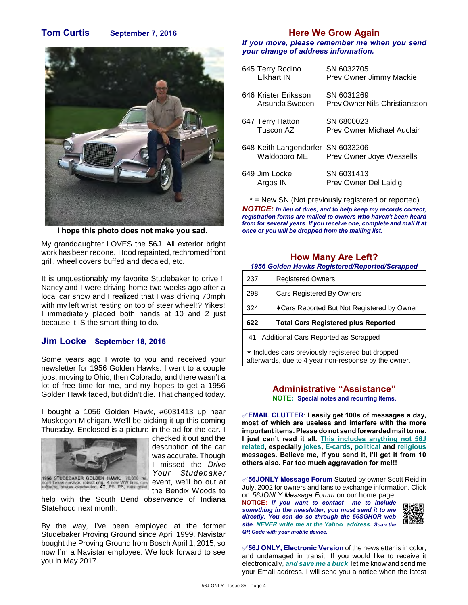# **Tom Curtis September 7, 2016**



**I hope this photo does not make you sad.** 

My granddaughter LOVES the 56J. All exterior bright work has been redone. Hood repainted, rechromed front grill, wheel covers buffed and decaled, etc.

It is unquestionably my favorite Studebaker to drive!! Nancy and I were driving home two weeks ago after a local car show and I realized that I was driving 70mph with my left wrist resting on top of steer wheel!? Yikes! I immediately placed both hands at 10 and 2 just because it IS the smart thing to do.

## **Jim Locke September 18, 2016**

Some years ago I wrote to you and received your newsletter for 1956 Golden Hawks. I went to a couple jobs, moving to Ohio, then Colorado, and there wasn't a lot of free time for me, and my hopes to get a 1956 Golden Hawk faded, but didn't die. That changed today.

I bought a 1056 Golden Hawk, #6031413 up near Muskegon Michigan. We'll be picking it up this coming Thursday. Enclosed is a picture in the ad for the car. I



checked it out and the description of the car was accurate. Though I missed the *Drive Your Studebaker* event, we'll bo out at the Bendix Woods to

help with the South Bend observance of Indiana Statehood next month.

By the way, I've been employed at the former Studebaker Proving Ground since April 1999. Navistar bought the Proving Ground from Bosch April 1, 2015, so now I'm a Navistar employee. We look forward to see you in May 2017.

# **Here We Grow Again**

*If you move, please remember me when you send your change of address information.*

| 645 Terry Rodino<br>Fikhart IN                    | SN 6032705<br>Prev Owner Jimmy Mackie       |
|---------------------------------------------------|---------------------------------------------|
| 646 Krister Eriksson<br>Arsunda Sweden            | SN 6031269<br>Prey Owner Nils Christiansson |
| 647 Terry Hatton<br>Tuscon AZ                     | SN 6800023<br>Prev Owner Michael Auclair    |
| 648 Keith Langendorfer SN 6033206<br>Waldoboro ME | Prev Owner Joye Wessells                    |
| 649 Jim Locke<br>Argos IN                         | SN 6031413<br>Prev Owner Del Laidig         |

\* = New SN (Not previously registered or reported) *NOTICE: In lieu of dues, and to help keep my records correct, registration forms are mailed to owners who haven't been heard from for several years. If you receive one, complete and mail it at once or you will be dropped from the mailing list.*

## **How Many Are Left?**

*1956 Golden Hawks Registered/Reported/Scrapped*

| 237 | <b>Registered Owners</b>                   |
|-----|--------------------------------------------|
| 298 | <b>Cars Registered By Owners</b>           |
| 324 | *Cars Reported But Not Registered by Owner |
|     |                                            |
| 622 | <b>Total Cars Registered plus Reported</b> |
| 41  | Additional Cars Reported as Scrapped       |

# **Administrative "Assistance"**

**NOTE: Special notes and recurring items.**

°**EMAIL CLUTTER**: **I easily get 100s of messages a day, most of which are useless and interfere with the more important items. Please do not send forwarded mail to me. I just can't read it all. This includes anything not 56J related, especially jokes, E-cards, political and religious messages. Believe me, if you send it, I'll get it from 10 others also. Far too much aggravation for me!!!**

°**56JONLY Message Forum** Started by owner Scott Reid in July, 2002 for owners and fans to exchange information. Click on *56JONLY Message Forum* on our home page.

**NOTICE:** *If you want to contact me to include something in the newsletter, you must send it to me directly. You can do so through the 56SGHOR web site. NEVER write me at the Yahoo address. Scan the QR Code with your mobile device.* 



**√56J ONLY, Electronic Version** of the newsletter is in color, and undamaged in transit. If you would like to receive it electronically, *and save me a buck*, let me know and send me your Email address. I will send you a notice when the latest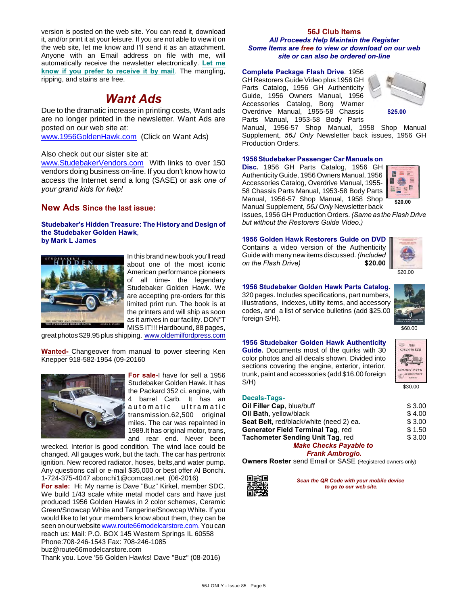version is posted on the web site. You can read it, download it, and/or print it at your leisure. If you are not able to view it on the web site, let me know and I'll send it as an attachment. Anyone with an Email address on file with me, will automatically receive the newsletter electronically. **Let me know if you prefer to receive it by mail**. The mangling, ripping, and stains are free.

# *Want Ads*

Due to the dramatic increase in printing costs, Want ads are no longer printed in the newsletter. Want Ads are posted on our web site at:

[www.1956GoldenHawk.com](http://www.1956GoldenHawk.com) (Click on Want Ads)

Also check out our sister site at:

[www.StudebakerVendors.com](http://www.StudebakerVendors.com) With links to over 150 vendors doing business on-line. If you don't know how to access the Internet send a long (SASE) or *ask one of your grand kids for help!*

### **New Ads Since the last issue:**

#### **Studebaker's Hidden Treasure: The History and Design of the Studebaker Golden Hawk**, **by Mark L James**



In this brand new book you'll read about one of the most iconic American performance pioneers of all time- the legendary Studebaker Golden Hawk. We are accepting pre-orders for this limited print run. The book is at the printers and will ship as soon as it arrives in our facility. DON"T MISS IT!!! Hardbound, 88 pages,

great photos \$29.95 plus shipping. [www.oldemilfordpress.com](http://www.oldemilfordpress.com/)

**Wanted-** Changeover from manual to power steering Ken Knepper 918-582-1954 (09-20160



**For sale-**I have for sell a 1956 Studebaker Golden Hawk. It has the Packard 352 ci. engine, with 4 barrel Carb. It has an automatic ultramatic transmission.62,500 original miles. The car was repainted in 1989.It has original motor, trans, and rear end. Never been

wrecked. Interior is good condition. The wind lace could be changed. All gauges work, but the tach. The car has pertronix ignition. New recored radiator, hoses, belts,and water pump. Any questions call or e-mail \$35,000 or best offer Al Bonchi. 1-724-375-4047 abonchi1@comcast.net (06-2016)

**For sale:** Hi: My name is Dave "Buz" Kirkel, member SDC. We build 1/43 scale white metal model cars and have just produced 1956 Golden Hawks in 2 color schemes, Ceramic Green/Snowcap White and Tangerine/Snowcap White. If you would like to let your members know about them, they can be seen on our website [www.route66modelcarstore.com.](http://www.route66modelcarstore.com.) You can reach us: Mail: P.O. BOX 145 Western Springs IL 60558 Phone:708-246-1543 Fax: 708-246-1085 buz@route66modelcarstore.com Thank you. Love '56 Golden Hawks! Dave "Buz" (08-2016)

### **56J Club Items** *All Proceeds Help Maintain the Register Some Items are free to view or download on our web site or can also be ordered on-line*

### **Complete Package Flash Drive**. 1956

GH Restorers Guide Video plus 1956 GH Parts Catalog, 1956 GH Authenticity Guide, 1956 Owners Manual, 1956 Accessories Catalog, Borg Warner Overdrive Manual, 1955-58 Chassis Parts Manual, 1953-58 Body Parts



Manual, 1956-57 Shop Manual, 1958 Shop Manual Supplement, *56J Only* Newsletter back issues, 1956 GH Production Orders.

#### **1956 Studebaker Passenger Car Manuals on**

**Disc.** 1956 GH Parts Catalog, 1956 GH Authenticity Guide, 1956 Owners Manual, 1956 Accessories Catalog, Overdrive Manual, 1955- 58 Chassis Parts Manual, 1953-58 Body Parts Manual, 1956-57 Shop Manual, 1958 Shop Manual Supplement, *56J Only* Newsletter back



issues, 1956 GH Production Orders. *(Same as the Flash Drive but without the Restorers Guide Video.)*

### **1956 Golden Hawk Restorers Guide on DVD**

Contains a video version of the Authenticity Guide with many new items discussed. *(Included on the Flash Drive)* **\$20.00**



## **1956 Studebaker Golden Hawk Parts Catalog.**

320 pages. Includes specifications, part numbers, illustrations, indexes, utility items, and accessory codes, and a list of service bulletins (add \$25.00 foreign S/H).



\$60.00

#### **1956 Studebaker Golden Hawk Authenticity Guide.** Documents most of the quirks with 30 color photos and all decals shown. Divided into sections covering the engine, exterior, interior, trunk, paint and accessories (add \$16.00 foreign S/H)



\$30.00

| Decais-Tags-                            |        |
|-----------------------------------------|--------|
| Oil Filler Cap, blue/buff               | \$3.00 |
| Oil Bath, yellow/black                  | \$4.00 |
| Seat Belt, red/black/white (need 2) ea. | \$3.00 |
| Generator Field Terminal Tag, red       | \$1.50 |
| Tachometer Sending Unit Tag, red        | \$3.00 |
| <b>Make Checks Payable to</b>           |        |
|                                         |        |

### *Frank Ambrogio.*

**Owners Roster** send Email or SASE (Registered owners only)



**Decals-Tags-**

*Scan the QR Code with your mobile device to go to our web site.*